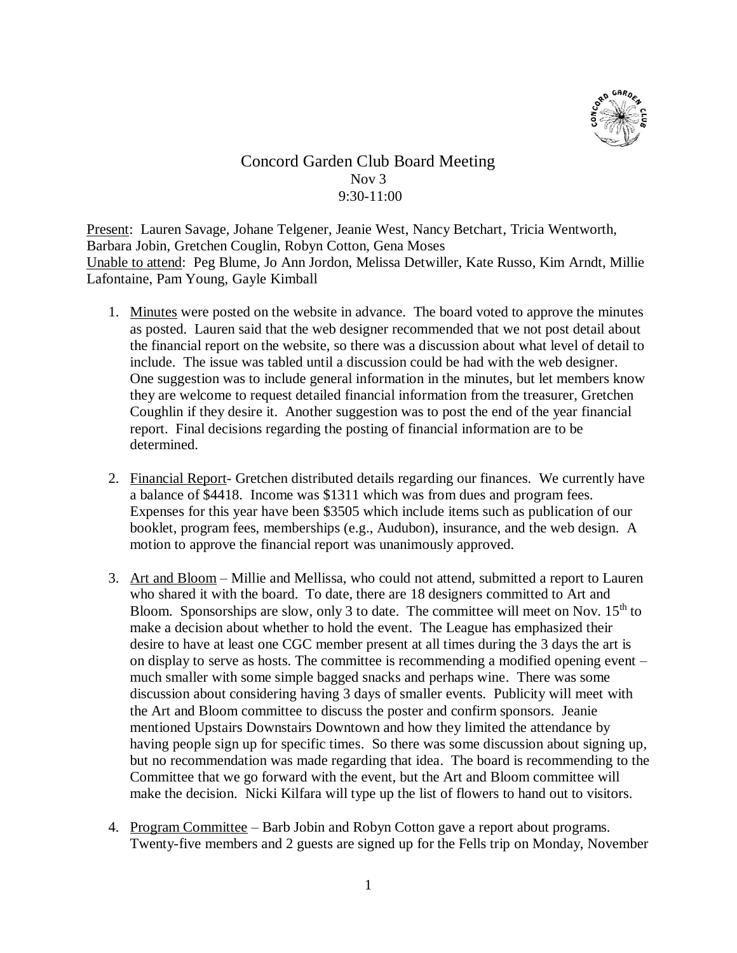

## Concord Garden Club Board Meeting Nov 3 9:30-11:00

Present: Lauren Savage, Johane Telgener, Jeanie West, Nancy Betchart, Tricia Wentworth, Barbara Jobin, Gretchen Couglin, Robyn Cotton, Gena Moses Unable to attend: Peg Blume, Jo Ann Jordon, Melissa Detwiller, Kate Russo, Kim Arndt, Millie Lafontaine, Pam Young, Gayle Kimball

- 1. Minutes were posted on the website in advance. The board voted to approve the minutes as posted. Lauren said that the web designer recommended that we not post detail about the financial report on the website, so there was a discussion about what level of detail to include. The issue was tabled until a discussion could be had with the web designer. One suggestion was to include general information in the minutes, but let members know they are welcome to request detailed financial information from the treasurer, Gretchen Coughlin if they desire it. Another suggestion was to post the end of the year financial report. Final decisions regarding the posting of financial information are to be determined.
- 2. Financial Report- Gretchen distributed details regarding our finances. We currently have a balance of \$4418. Income was \$1311 which was from dues and program fees. Expenses for this year have been \$3505 which include items such as publication of our booklet, program fees, memberships (e.g., Audubon), insurance, and the web design. A motion to approve the financial report was unanimously approved.
- 3. Art and Bloom Millie and Mellissa, who could not attend, submitted a report to Lauren who shared it with the board. To date, there are 18 designers committed to Art and Bloom. Sponsorships are slow, only 3 to date. The committee will meet on Nov.  $15<sup>th</sup>$  to make a decision about whether to hold the event. The League has emphasized their desire to have at least one CGC member present at all times during the 3 days the art is on display to serve as hosts. The committee is recommending a modified opening event – much smaller with some simple bagged snacks and perhaps wine. There was some discussion about considering having 3 days of smaller events. Publicity will meet with the Art and Bloom committee to discuss the poster and confirm sponsors. Jeanie mentioned Upstairs Downstairs Downtown and how they limited the attendance by having people sign up for specific times. So there was some discussion about signing up, but no recommendation was made regarding that idea. The board is recommending to the Committee that we go forward with the event, but the Art and Bloom committee will make the decision. Nicki Kilfara will type up the list of flowers to hand out to visitors.
- 4. Program Committee Barb Jobin and Robyn Cotton gave a report about programs. Twenty-five members and 2 guests are signed up for the Fells trip on Monday, November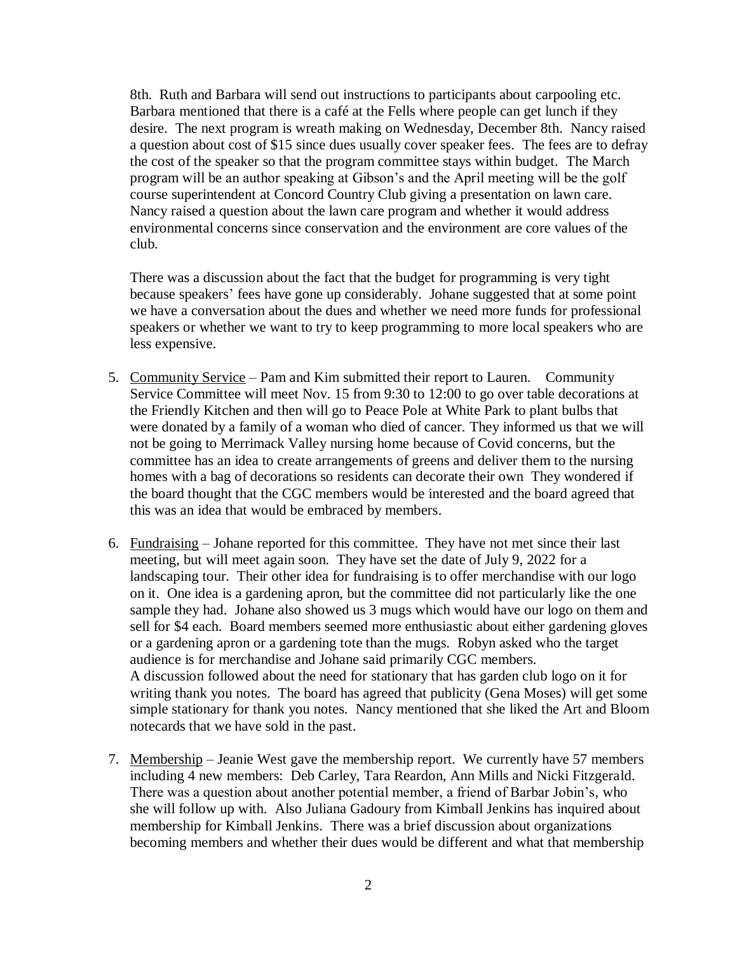8th. Ruth and Barbara will send out instructions to participants about carpooling etc. Barbara mentioned that there is a café at the Fells where people can get lunch if they desire. The next program is wreath making on Wednesday, December 8th. Nancy raised a question about cost of \$15 since dues usually cover speaker fees. The fees are to defray the cost of the speaker so that the program committee stays within budget. The March program will be an author speaking at Gibson's and the April meeting will be the golf course superintendent at Concord Country Club giving a presentation on lawn care. Nancy raised a question about the lawn care program and whether it would address environmental concerns since conservation and the environment are core values of the club.

There was a discussion about the fact that the budget for programming is very tight because speakers' fees have gone up considerably. Johane suggested that at some point we have a conversation about the dues and whether we need more funds for professional speakers or whether we want to try to keep programming to more local speakers who are less expensive.

- 5. Community Service Pam and Kim submitted their report to Lauren. Community Service Committee will meet Nov. 15 from 9:30 to 12:00 to go over table decorations at the Friendly Kitchen and then will go to Peace Pole at White Park to plant bulbs that were donated by a family of a woman who died of cancer. They informed us that we will not be going to Merrimack Valley nursing home because of Covid concerns, but the committee has an idea to create arrangements of greens and deliver them to the nursing homes with a bag of decorations so residents can decorate their own They wondered if the board thought that the CGC members would be interested and the board agreed that this was an idea that would be embraced by members.
- 6. Fundraising Johane reported for this committee. They have not met since their last meeting, but will meet again soon. They have set the date of July 9, 2022 for a landscaping tour. Their other idea for fundraising is to offer merchandise with our logo on it. One idea is a gardening apron, but the committee did not particularly like the one sample they had. Johane also showed us 3 mugs which would have our logo on them and sell for \$4 each. Board members seemed more enthusiastic about either gardening gloves or a gardening apron or a gardening tote than the mugs. Robyn asked who the target audience is for merchandise and Johane said primarily CGC members. A discussion followed about the need for stationary that has garden club logo on it for writing thank you notes. The board has agreed that publicity (Gena Moses) will get some simple stationary for thank you notes. Nancy mentioned that she liked the Art and Bloom notecards that we have sold in the past.
- 7. Membership Jeanie West gave the membership report. We currently have 57 members including 4 new members: Deb Carley, Tara Reardon, Ann Mills and Nicki Fitzgerald. There was a question about another potential member, a friend of Barbar Jobin's, who she will follow up with. Also Juliana Gadoury from Kimball Jenkins has inquired about membership for Kimball Jenkins. There was a brief discussion about organizations becoming members and whether their dues would be different and what that membership